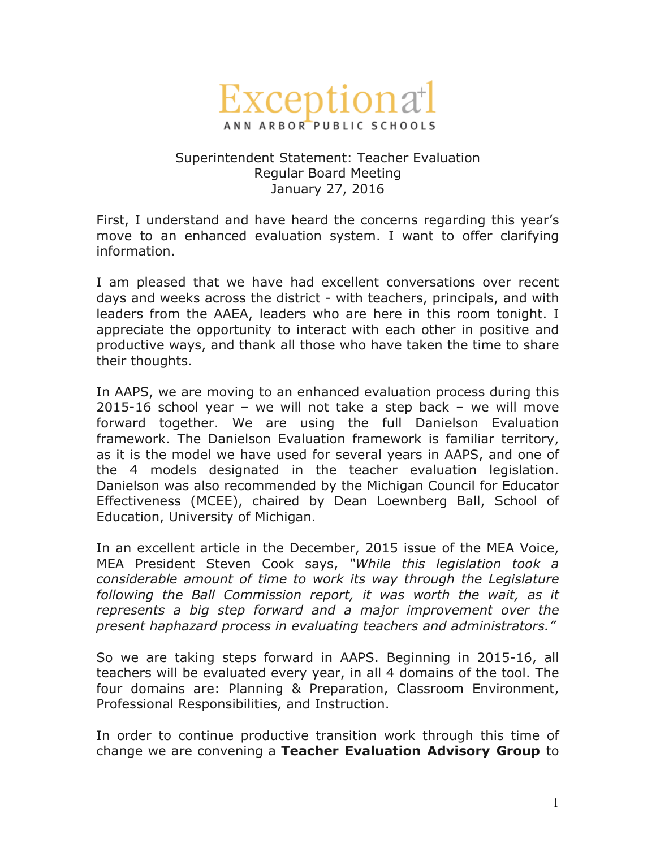

## Superintendent Statement: Teacher Evaluation Regular Board Meeting January 27, 2016

First, I understand and have heard the concerns regarding this year's move to an enhanced evaluation system. I want to offer clarifying information.

I am pleased that we have had excellent conversations over recent days and weeks across the district - with teachers, principals, and with leaders from the AAEA, leaders who are here in this room tonight. I appreciate the opportunity to interact with each other in positive and productive ways, and thank all those who have taken the time to share their thoughts.

In AAPS, we are moving to an enhanced evaluation process during this 2015-16 school year – we will not take a step back – we will move forward together. We are using the full Danielson Evaluation framework. The Danielson Evaluation framework is familiar territory, as it is the model we have used for several years in AAPS, and one of the 4 models designated in the teacher evaluation legislation. Danielson was also recommended by the Michigan Council for Educator Effectiveness (MCEE), chaired by Dean Loewnberg Ball, School of Education, University of Michigan.

In an excellent article in the December, 2015 issue of the MEA Voice, MEA President Steven Cook says, *"While this legislation took a considerable amount of time to work its way through the Legislature following the Ball Commission report, it was worth the wait, as it represents a big step forward and a major improvement over the present haphazard process in evaluating teachers and administrators."*

So we are taking steps forward in AAPS. Beginning in 2015-16, all teachers will be evaluated every year, in all 4 domains of the tool. The four domains are: Planning & Preparation, Classroom Environment, Professional Responsibilities, and Instruction.

In order to continue productive transition work through this time of change we are convening a **Teacher Evaluation Advisory Group** to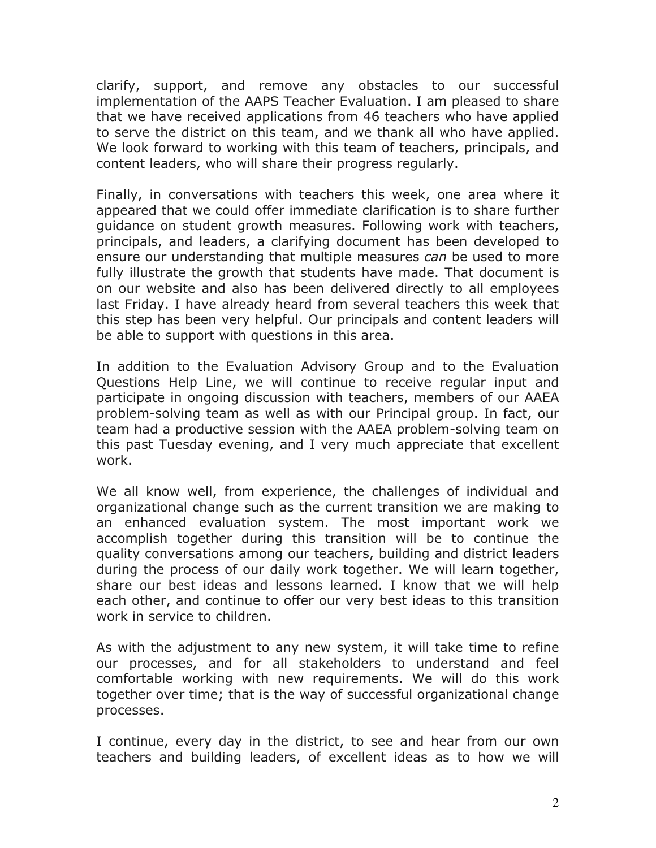clarify, support, and remove any obstacles to our successful implementation of the AAPS Teacher Evaluation. I am pleased to share that we have received applications from 46 teachers who have applied to serve the district on this team, and we thank all who have applied. We look forward to working with this team of teachers, principals, and content leaders, who will share their progress regularly.

Finally, in conversations with teachers this week, one area where it appeared that we could offer immediate clarification is to share further guidance on student growth measures. Following work with teachers, principals, and leaders, a clarifying document has been developed to ensure our understanding that multiple measures *can* be used to more fully illustrate the growth that students have made. That document is on our website and also has been delivered directly to all employees last Friday. I have already heard from several teachers this week that this step has been very helpful. Our principals and content leaders will be able to support with questions in this area.

In addition to the Evaluation Advisory Group and to the Evaluation Questions Help Line, we will continue to receive regular input and participate in ongoing discussion with teachers, members of our AAEA problem-solving team as well as with our Principal group. In fact, our team had a productive session with the AAEA problem-solving team on this past Tuesday evening, and I very much appreciate that excellent work.

We all know well, from experience, the challenges of individual and organizational change such as the current transition we are making to an enhanced evaluation system. The most important work we accomplish together during this transition will be to continue the quality conversations among our teachers, building and district leaders during the process of our daily work together. We will learn together, share our best ideas and lessons learned. I know that we will help each other, and continue to offer our very best ideas to this transition work in service to children.

As with the adjustment to any new system, it will take time to refine our processes, and for all stakeholders to understand and feel comfortable working with new requirements. We will do this work together over time; that is the way of successful organizational change processes.

I continue, every day in the district, to see and hear from our own teachers and building leaders, of excellent ideas as to how we will